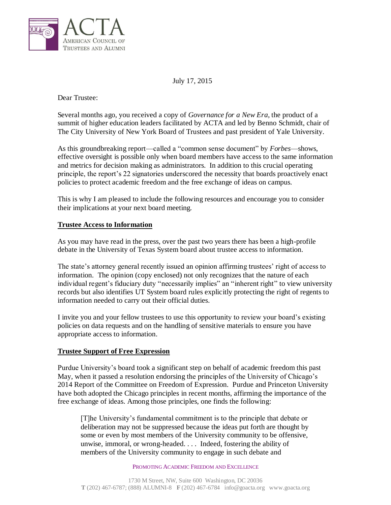

July 17, 2015

Dear Trustee:

Several months ago, you received a copy of *Governance for a New Era*, the product of a summit of higher education leaders facilitated by ACTA and led by Benno Schmidt, chair of The City University of New York Board of Trustees and past president of Yale University.

As this groundbreaking report—called a "common sense document" by *Forbes*—shows, effective oversight is possible only when board members have access to the same information and metrics for decision making as administrators. In addition to this crucial operating principle, the report's 22 signatories underscored the necessity that boards proactively enact policies to protect academic freedom and the free exchange of ideas on campus.

This is why I am pleased to include the following resources and encourage you to consider their implications at your next board meeting.

## **Trustee Access to Information**

As you may have read in the press, over the past two years there has been a high-profile debate in the University of Texas System board about trustee access to information.

The state's attorney general recently issued an opinion affirming trustees' right of access to information. The opinion (copy enclosed) not only recognizes that the nature of each individual regent's fiduciary duty "necessarily implies" an "inherent right" to view university records but also identifies UT System board rules explicitly protecting the right of regents to information needed to carry out their official duties.

I invite you and your fellow trustees to use this opportunity to review your board's existing policies on data requests and on the handling of sensitive materials to ensure you have appropriate access to information.

## **Trustee Support of Free Expression**

Purdue University's board took a significant step on behalf of academic freedom this past May, when it passed a resolution endorsing the principles of the University of Chicago's 2014 Report of the Committee on Freedom of Expression. Purdue and Princeton University have both adopted the Chicago principles in recent months, affirming the importance of the free exchange of ideas. Among those principles, one finds the following:

[T]he University's fundamental commitment is to the principle that debate or deliberation may not be suppressed because the ideas put forth are thought by some or even by most members of the University community to be offensive, unwise, immoral, or wrong-headed. . . . Indeed, fostering the ability of members of the University community to engage in such debate and

PROMOTING ACADEMIC FREEDOM AND EXCELLENCE